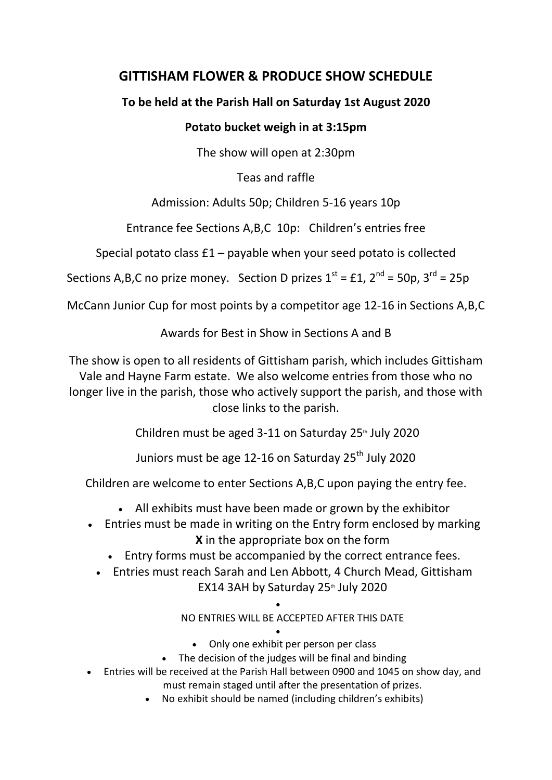# **GITTISHAM FLOWER & PRODUCE SHOW SCHEDULE**

## **To be held at the Parish Hall on Saturday 1st August 2020**

## **Potato bucket weigh in at 3:15pm**

The show will open at 2:30pm

Teas and raffle

Admission: Adults 50p; Children 5-16 years 10p

Entrance fee Sections A,B,C 10p: Children's entries free

Special potato class £1 – payable when your seed potato is collected

Sections A, B, C no prize money. Section D prizes  $1^{st} = £1$ ,  $2^{nd} = 50p$ ,  $3^{rd} = 25p$ 

McCann Junior Cup for most points by a competitor age 12-16 in Sections A,B,C

Awards for Best in Show in Sections A and B

The show is open to all residents of Gittisham parish, which includes Gittisham Vale and Hayne Farm estate. We also welcome entries from those who no longer live in the parish, those who actively support the parish, and those with close links to the parish.

Children must be aged 3-11 on Saturday  $25<sup>th</sup>$  July 2020

Juniors must be age 12-16 on Saturday 25<sup>th</sup> July 2020

Children are welcome to enter Sections A,B,C upon paying the entry fee.

- All exhibits must have been made or grown by the exhibitor
- Entries must be made in writing on the Entry form enclosed by marking **X** in the appropriate box on the form
	- Entry forms must be accompanied by the correct entrance fees.
	- Entries must reach Sarah and Len Abbott, 4 Church Mead, Gittisham EX14 3AH by Saturday 25<sup>th</sup> July 2020

 $\bullet$ 

NO ENTRIES WILL BE ACCEPTED AFTER THIS DATE

- $\bullet$ Only one exhibit per person per class
- The decision of the judges will be final and binding
- Entries will be received at the Parish Hall between 0900 and 1045 on show day, and must remain staged until after the presentation of prizes.
	- No exhibit should be named (including children's exhibits)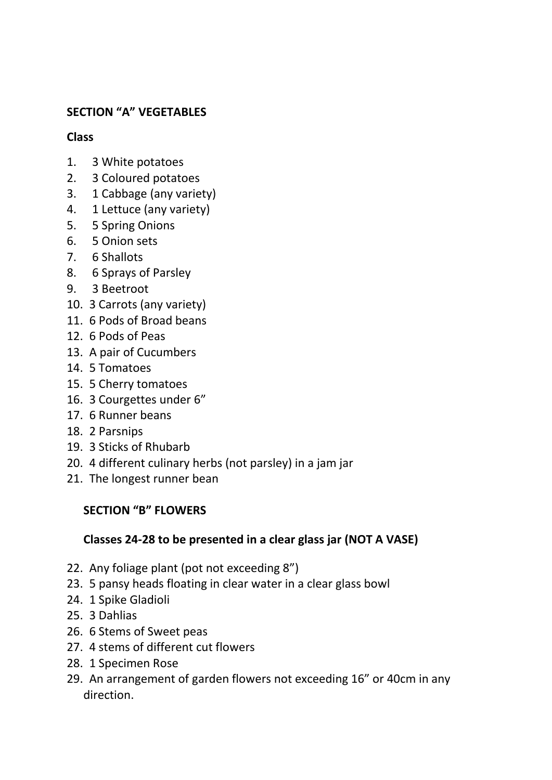## **SECTION "A" VEGETABLES**

### **Class**

- 1. 3 White potatoes
- 2. 3 Coloured potatoes
- 3. 1 Cabbage (any variety)
- 4. 1 Lettuce (any variety)
- 5. 5 Spring Onions
- 6. 5 Onion sets
- 7. 6 Shallots
- 8. 6 Sprays of Parsley
- 9. 3 Beetroot
- 10. 3 Carrots (any variety)
- 11. 6 Pods of Broad beans
- 12. 6 Pods of Peas
- 13. A pair of Cucumbers
- 14. 5 Tomatoes
- 15. 5 Cherry tomatoes
- 16. 3 Courgettes under 6"
- 17. 6 Runner beans
- 18. 2 Parsnips
- 19. 3 Sticks of Rhubarb
- 20. 4 different culinary herbs (not parsley) in a jam jar
- 21. The longest runner bean

## **SECTION "B" FLOWERS**

### **Classes 24-28 to be presented in a clear glass jar (NOT A VASE)**

- 22. Any foliage plant (pot not exceeding 8")
- 23. 5 pansy heads floating in clear water in a clear glass bowl
- 24. 1 Spike Gladioli
- 25. 3 Dahlias
- 26. 6 Stems of Sweet peas
- 27. 4 stems of different cut flowers
- 28. 1 Specimen Rose
- 29. An arrangement of garden flowers not exceeding 16" or 40cm in any direction.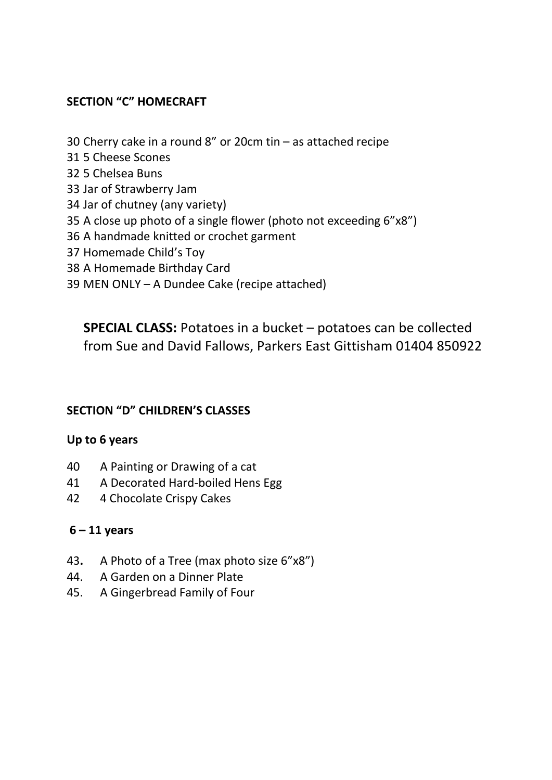## **SECTION "C" HOMECRAFT**

- Cherry cake in a round 8" or 20cm tin as attached recipe
- 5 Cheese Scones
- 5 Chelsea Buns
- Jar of Strawberry Jam
- Jar of chutney (any variety)
- A close up photo of a single flower (photo not exceeding 6"x8")
- A handmade knitted or crochet garment
- Homemade Child's Toy
- A Homemade Birthday Card
- MEN ONLY A Dundee Cake (recipe attached)

**SPECIAL CLASS:** Potatoes in a bucket – potatoes can be collected from Sue and David Fallows, Parkers East Gittisham 01404 850922

### **SECTION "D" CHILDREN'S CLASSES**

#### **Up to 6 years**

- A Painting or Drawing of a cat
- A Decorated Hard-boiled Hens Egg
- 4 Chocolate Crispy Cakes

#### **– 11 years**

- **.** A Photo of a Tree (max photo size 6"x8")
- 44. A Garden on a Dinner Plate
- 45. A Gingerbread Family of Four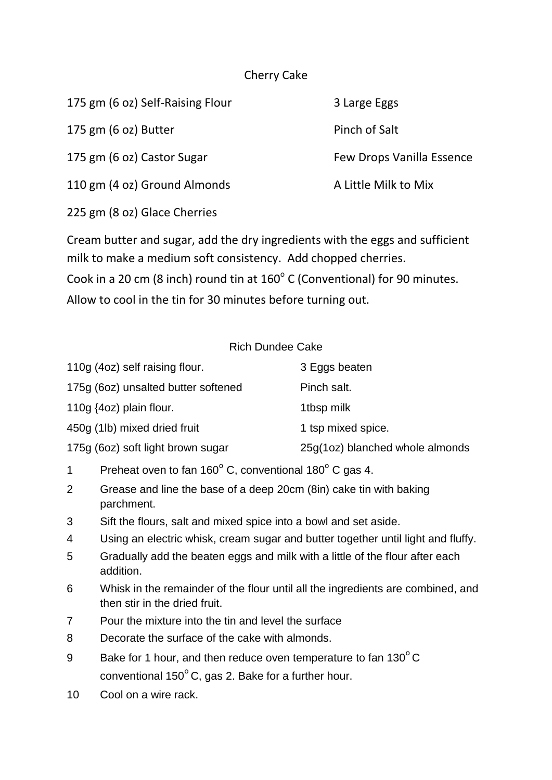### Cherry Cake

| 175 gm (6 oz) Self-Raising Flour | 3 Large Eggs              |
|----------------------------------|---------------------------|
| 175 gm (6 oz) Butter             | Pinch of Salt             |
| 175 gm (6 oz) Castor Sugar       | Few Drops Vanilla Essence |
| 110 gm (4 oz) Ground Almonds     | A Little Milk to Mix      |
| 225 gm (8 oz) Glace Cherries     |                           |

Cream butter and sugar, add the dry ingredients with the eggs and sufficient milk to make a medium soft consistency. Add chopped cherries. Cook in a 20 cm (8 inch) round tin at  $160^{\circ}$  C (Conventional) for 90 minutes. Allow to cool in the tin for 30 minutes before turning out.

#### Rich Dundee Cake

| 110g (4oz) self raising flour.      | 3 Eggs beaten                   |
|-------------------------------------|---------------------------------|
| 175g (6oz) unsalted butter softened | Pinch salt.                     |
| 110g $(4oz)$ plain flour.           | 1tbsp milk                      |
| 450g (1lb) mixed dried fruit        | 1 tsp mixed spice.              |
| 175g (6oz) soft light brown sugar   | 25g(1oz) blanched whole almonds |
|                                     |                                 |

- 1 Preheat oven to fan  $160^{\circ}$  C, conventional  $180^{\circ}$  C gas 4.
- 2 Grease and line the base of a deep 20cm (8in) cake tin with baking parchment.
- 3 Sift the flours, salt and mixed spice into a bowl and set aside.
- 4 Using an electric whisk, cream sugar and butter together until light and fluffy.
- 5 Gradually add the beaten eggs and milk with a little of the flour after each addition.
- 6 Whisk in the remainder of the flour until all the ingredients are combined, and then stir in the dried fruit.
- 7 Pour the mixture into the tin and level the surface
- 8 Decorate the surface of the cake with almonds.
- 9 Bake for 1 hour, and then reduce oven temperature to fan  $130^{\circ}$ C conventional  $150^{\circ}$  C, gas 2. Bake for a further hour.
- 10 Cool on a wire rack.